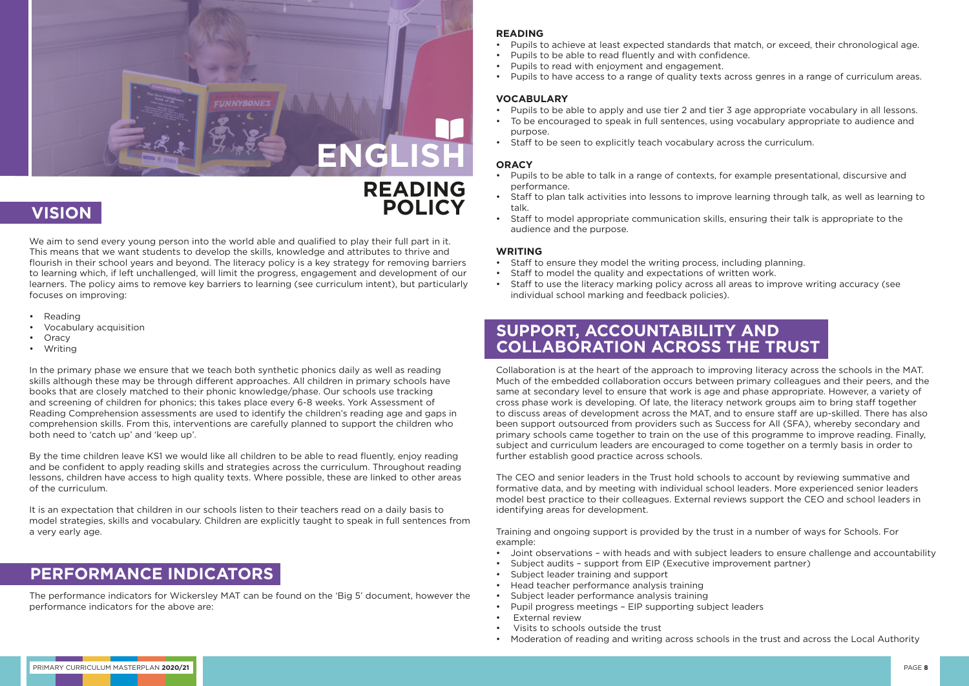We aim to send every young person into the world able and qualified to play their full part in it. This means that we want students to develop the skills, knowledge and attributes to thrive and flourish in their school years and beyond. The literacy policy is a key strategy for removing barriers to learning which, if left unchallenged, will limit the progress, engagement and development of our learners. The policy aims to remove key barriers to learning (see curriculum intent), but particularly focuses on improving:

- Reading
- Vocabulary acquisition
- **Oracy**
- Writing

In the primary phase we ensure that we teach both synthetic phonics daily as well as reading skills although these may be through different approaches. All children in primary schools have books that are closely matched to their phonic knowledge/phase. Our schools use tracking and screening of children for phonics; this takes place every 6-8 weeks. York Assessment of Reading Comprehension assessments are used to identify the children's reading age and gaps in comprehension skills. From this, interventions are carefully planned to support the children who both need to 'catch up' and 'keep up'.

By the time children leave KS1 we would like all children to be able to read fluently, enjoy reading and be confident to apply reading skills and strategies across the curriculum. Throughout reading lessons, children have access to high quality texts. Where possible, these are linked to other areas of the curriculum.

It is an expectation that children in our schools listen to their teachers read on a daily basis to model strategies, skills and vocabulary. Children are explicitly taught to speak in full sentences from a very early age.

The performance indicators for Wickersley MAT can be found on the 'Big 5' document, however the performance indicators for the above are:



# **VISION POLICY**

### **PERFORMANCE INDICATORS**

#### **READING**

- Pupils to achieve at least expected standards that match, or exceed, their chronological age.
- Pupils to be able to read fluently and with confidence.
- Pupils to read with enjoyment and engagement.
- Pupils to have access to a range of quality texts across genres in a range of curriculum areas.

#### **VOCABULARY**

- Pupils to be able to apply and use tier 2 and tier 3 age appropriate vocabulary in all lessons.
- To be encouraged to speak in full sentences, using vocabulary appropriate to audience and purpose.
- Staff to be seen to explicitly teach vocabulary across the curriculum.

- 
- Subject audits support from EIP (Executive improvement partner)
- Subject leader training and support
- Head teacher performance analysis training
- Subject leader performance analysis training
- Pupil progress meetings EIP supporting subject leaders
- External review
- Visits to schools outside the trust
- Moderation of reading and writing across schools in the trust and across the Local Authority

#### **ORACY**

- Pupils to be able to talk in a range of contexts, for example presentational, discursive and performance.
- Staff to plan talk activities into lessons to improve learning through talk, as well as learning to talk.
- Staff to model appropriate communication skills, ensuring their talk is appropriate to the audience and the purpose.

#### **WRITING**

- Staff to ensure they model the writing process, including planning.
- Staff to model the quality and expectations of written work.
- Staff to use the literacy marking policy across all areas to improve writing accuracy (see individual school marking and feedback policies).

Collaboration is at the heart of the approach to improving literacy across the schools in the MAT. Much of the embedded collaboration occurs between primary colleagues and their peers, and the same at secondary level to ensure that work is age and phase appropriate. However, a variety of cross phase work is developing. Of late, the literacy network groups aim to bring staff together to discuss areas of development across the MAT, and to ensure staff are up-skilled. There has also been support outsourced from providers such as Success for All (SFA), whereby secondary and primary schools came together to train on the use of this programme to improve reading. Finally, subject and curriculum leaders are encouraged to come together on a termly basis in order to further establish good practice across schools.

The CEO and senior leaders in the Trust hold schools to account by reviewing summative and formative data, and by meeting with individual school leaders. More experienced senior leaders model best practice to their colleagues. External reviews support the CEO and school leaders in identifying areas for development.

Training and ongoing support is provided by the trust in a number of ways for Schools. For example:

• Joint observations – with heads and with subject leaders to ensure challenge and accountability

### **SUPPORT, ACCOUNTABILITY AND COLLABORATION ACROSS THE TRUST**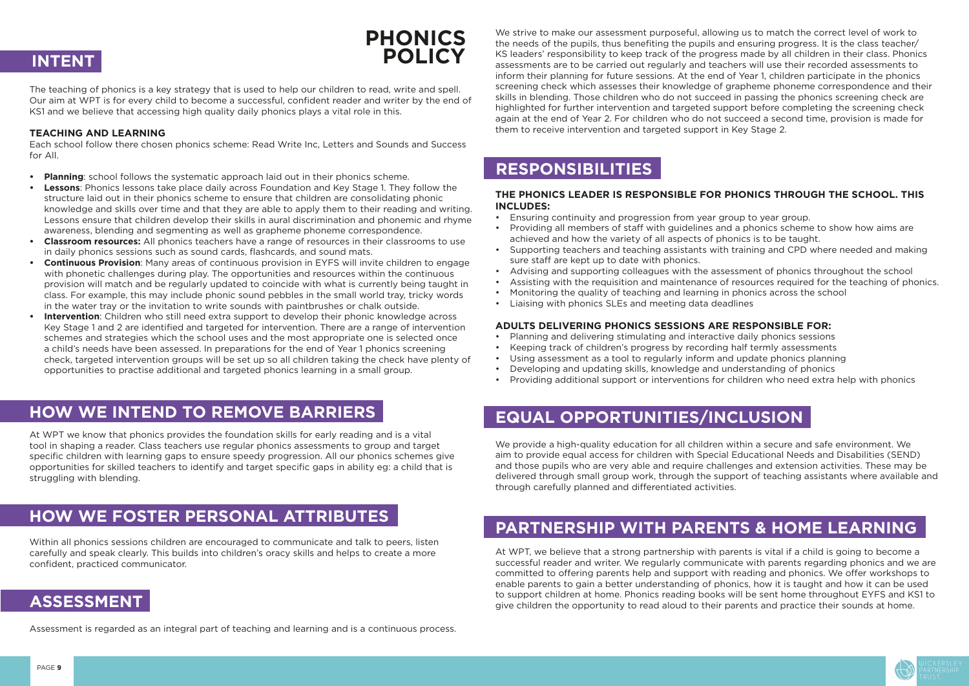

The teaching of phonics is a key strategy that is used to help our children to read, write and spell. Our aim at WPT is for every child to become a successful, confident reader and writer by the end of KS1 and we believe that accessing high quality daily phonics plays a vital role in this.

#### **TEACHING AND LEARNING**

Each school follow there chosen phonics scheme: Read Write Inc, Letters and Sounds and Success for All.

- **• Planning**: school follows the systematic approach laid out in their phonics scheme.
- **• Lessons**: Phonics lessons take place daily across Foundation and Key Stage 1. They follow the structure laid out in their phonics scheme to ensure that children are consolidating phonic knowledge and skills over time and that they are able to apply them to their reading and writing. Lessons ensure that children develop their skills in aural discrimination and phonemic and rhyme awareness, blending and segmenting as well as grapheme phoneme correspondence.
- **• Classroom resources:** All phonics teachers have a range of resources in their classrooms to use in daily phonics sessions such as sound cards, flashcards, and sound mats.
- **• Continuous Provision**: Many areas of continuous provision in EYFS will invite children to engage with phonetic challenges during play. The opportunities and resources within the continuous provision will match and be regularly updated to coincide with what is currently being taught in class. For example, this may include phonic sound pebbles in the small world tray, tricky words in the water tray or the invitation to write sounds with paintbrushes or chalk outside.
- **• Intervention**: Children who still need extra support to develop their phonic knowledge across Key Stage 1 and 2 are identified and targeted for intervention. There are a range of intervention schemes and strategies which the school uses and the most appropriate one is selected once a child's needs have been assessed. In preparations for the end of Year 1 phonics screening check, targeted intervention groups will be set up so all children taking the check have plenty of opportunities to practise additional and targeted phonics learning in a small group.

At WPT we know that phonics provides the foundation skills for early reading and is a vital tool in shaping a reader. Class teachers use regular phonics assessments to group and target specific children with learning gaps to ensure speedy progression. All our phonics schemes give opportunities for skilled teachers to identify and target specific gaps in ability eg: a child that is struggling with blending.

Within all phonics sessions children are encouraged to communicate and talk to peers, listen carefully and speak clearly. This builds into children's oracy skills and helps to create a more confident, practiced communicator.

Assessment is regarded as an integral part of teaching and learning and is a continuous process.

## **PHONICS INTENT POLICY**

### **HOW WE INTEND TO REMOVE BARRIERS**

### **HOW WE FOSTER PERSONAL ATTRIBUTES**

### **ASSESSMENT**

We strive to make our assessment purposeful, allowing us to match the correct level of work to the needs of the pupils, thus benefiting the pupils and ensuring progress. It is the class teacher/ KS leaders' responsibility to keep track of the progress made by all children in their class. Phonics assessments are to be carried out regularly and teachers will use their recorded assessments to inform their planning for future sessions. At the end of Year 1, children participate in the phonics screening check which assesses their knowledge of grapheme phoneme correspondence and their skills in blending. Those children who do not succeed in passing the phonics screening check are highlighted for further intervention and targeted support before completing the screening check again at the end of Year 2. For children who do not succeed a second time, provision is made for them to receive intervention and targeted support in Key Stage 2.

#### **THE PHONICS LEADER IS RESPONSIBLE FOR PHONICS THROUGH THE SCHOOL. THIS INCLUDES:**

- Ensuring continuity and progression from year group to year group.
- Providing all members of staff with guidelines and a phonics scheme to show how aims are achieved and how the variety of all aspects of phonics is to be taught.
- Supporting teachers and teaching assistants with training and CPD where needed and making sure staff are kept up to date with phonics.
- Advising and supporting colleagues with the assessment of phonics throughout the school
- Assisting with the requisition and maintenance of resources required for the teaching of phonics.
- Monitoring the quality of teaching and learning in phonics across the school
- Liaising with phonics SLEs and meeting data deadlines

#### **ADULTS DELIVERING PHONICS SESSIONS ARE RESPONSIBLE FOR:**

- Planning and delivering stimulating and interactive daily phonics sessions
- Keeping track of children's progress by recording half termly assessments
- Using assessment as a tool to regularly inform and update phonics planning
- Developing and updating skills, knowledge and understanding of phonics
- Providing additional support or interventions for children who need extra help with phonics

We provide a high-quality education for all children within a secure and safe environment. We aim to provide equal access for children with Special Educational Needs and Disabilities (SEND) and those pupils who are very able and require challenges and extension activities. These may be delivered through small group work, through the support of teaching assistants where available and through carefully planned and differentiated activities.

At WPT, we believe that a strong partnership with parents is vital if a child is going to become a successful reader and writer. We regularly communicate with parents regarding phonics and we are committed to offering parents help and support with reading and phonics. We offer workshops to enable parents to gain a better understanding of phonics, how it is taught and how it can be used to support children at home. Phonics reading books will be sent home throughout EYFS and KS1 to give children the opportunity to read aloud to their parents and practice their sounds at home.

#### **RESPONSIBILITIES**

### **EQUAL OPPORTUNITIES/INCLUSION**

### **PARTNERSHIP WITH PARENTS & HOME LEARNING**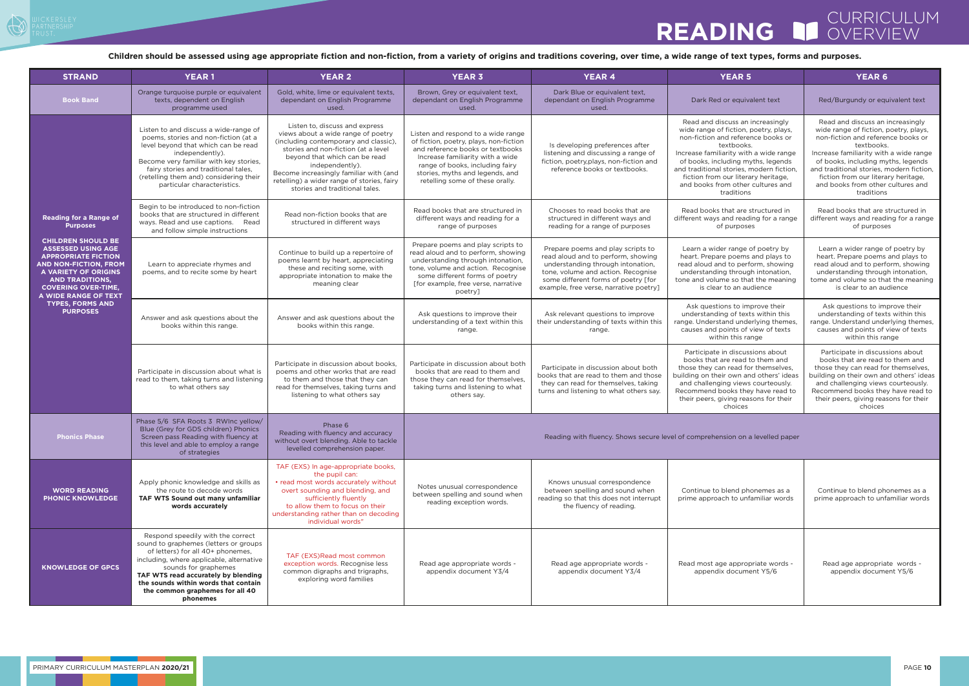## CURRICULUM<sup>I</sup><br>|OVERVIEW **READING**

| <b>STRAND</b>                                                                                                                                                                                                                                                                                                                         | <b>YEAR1</b>                                                                                                                                                                                                                                                                                                      | <b>YEAR 2</b>                                                                                                                                                                                                                                                                                                                      | <b>YEAR 3</b>                                                                                                                                                                                                                                                 | <b>YEAR 4</b>                                                                                                                                                                                                                       | <b>YEAR 5</b>                                                                                                                                                                                                                                                                                                                                       | <b>YEAR 6</b>                                                                                                                                                                                                                                                                                                                                       |
|---------------------------------------------------------------------------------------------------------------------------------------------------------------------------------------------------------------------------------------------------------------------------------------------------------------------------------------|-------------------------------------------------------------------------------------------------------------------------------------------------------------------------------------------------------------------------------------------------------------------------------------------------------------------|------------------------------------------------------------------------------------------------------------------------------------------------------------------------------------------------------------------------------------------------------------------------------------------------------------------------------------|---------------------------------------------------------------------------------------------------------------------------------------------------------------------------------------------------------------------------------------------------------------|-------------------------------------------------------------------------------------------------------------------------------------------------------------------------------------------------------------------------------------|-----------------------------------------------------------------------------------------------------------------------------------------------------------------------------------------------------------------------------------------------------------------------------------------------------------------------------------------------------|-----------------------------------------------------------------------------------------------------------------------------------------------------------------------------------------------------------------------------------------------------------------------------------------------------------------------------------------------------|
| <b>Book Band</b>                                                                                                                                                                                                                                                                                                                      | Orange turquoise purple or equivalent<br>texts, dependent on English<br>programme used                                                                                                                                                                                                                            | Gold, white, lime or equivalent texts,<br>dependant on English Programme<br>used.                                                                                                                                                                                                                                                  | Brown, Grey or equivalent text,<br>dependant on English Programme<br>used.                                                                                                                                                                                    | Dark Blue or equivalent text,<br>dependant on English Programme<br>used.                                                                                                                                                            | Dark Red or equivalent text                                                                                                                                                                                                                                                                                                                         | Red/Burgundy or equivalent text                                                                                                                                                                                                                                                                                                                     |
| <b>Reading for a Range of</b><br><b>Purposes</b><br><b>CHILDREN SHOULD BE</b><br><b>ASSESSED USING AGE</b><br><b>APPROPRIATE FICTION</b><br><b>AND NON-FICTION. FROM</b><br><b>A VARIETY OF ORIGINS</b><br><b>AND TRADITIONS,</b><br><b>COVERING OVER-TIME,</b><br>A WIDE RANGE OF TEXT<br><b>TYPES, FORMS AND</b><br><b>PURPOSES</b> | Listen to and discuss a wide-range of<br>poems, stories and non-fiction (at a<br>level beyond that which can be read<br>independently).<br>Become very familiar with key stories,<br>fairy stories and traditional tales,<br>(retelling them and) considering their<br>particular characteristics.                | Listen to, discuss and express<br>views about a wide range of poetry<br>(including contemporary and classic),<br>stories and non-fiction (at a level<br>beyond that which can be read<br>independently).<br>Become increasingly familiar with (and<br>retelling) a wider range of stories, fairy<br>stories and traditional tales. | Listen and respond to a wide range<br>of fiction, poetry, plays, non-fiction<br>and reference books or textbooks<br>Increase familiarity with a wide<br>range of books, including fairy<br>stories, myths and legends, and<br>retelling some of these orally. | Is developing preferences after<br>listening and discussing a range of<br>fiction, poetry, plays, non-fiction and<br>reference books or textbooks.                                                                                  | Read and discuss an increasingly<br>wide range of fiction, poetry, plays,<br>non-fiction and reference books or<br>textbooks.<br>Increase familiarity with a wide range<br>of books, including myths, legends<br>and traditional stories, modern fiction,<br>fiction from our literary heritage,<br>and books from other cultures and<br>traditions | Read and discuss an increasingly<br>wide range of fiction, poetry, plays,<br>non-fiction and reference books or<br>textbooks.<br>Increase familiarity with a wide range<br>of books, including myths, legends<br>and traditional stories, modern fiction,<br>fiction from our literary heritage,<br>and books from other cultures and<br>traditions |
|                                                                                                                                                                                                                                                                                                                                       | Begin to be introduced to non-fiction<br>books that are structured in different<br>ways. Read and use captions. Read<br>and follow simple instructions                                                                                                                                                            | Read non-fiction books that are<br>structured in different ways                                                                                                                                                                                                                                                                    | Read books that are structured in<br>different ways and reading for a<br>range of purposes                                                                                                                                                                    | Chooses to read books that are<br>structured in different ways and<br>reading for a range of purposes                                                                                                                               | Read books that are structured in<br>different ways and reading for a range<br>of purposes                                                                                                                                                                                                                                                          | Read books that are structured in<br>different ways and reading for a range<br>of purposes                                                                                                                                                                                                                                                          |
|                                                                                                                                                                                                                                                                                                                                       | Learn to appreciate rhymes and<br>poems, and to recite some by heart                                                                                                                                                                                                                                              | Continue to build up a repertoire of<br>poems learnt by heart, appreciating<br>these and reciting some, with<br>appropriate intonation to make the<br>meaning clear                                                                                                                                                                | Prepare poems and play scripts to<br>read aloud and to perform, showing<br>understanding through intonation,<br>tone, volume and action. Recognise<br>some different forms of poetry<br>[for example, free verse, narrative<br>poetry]                        | Prepare poems and play scripts to<br>read aloud and to perform, showing<br>understanding through intonation.<br>tone, volume and action. Recognise<br>some different forms of poetry [for<br>example, free verse, narrative poetry] | Learn a wider range of poetry by<br>heart. Prepare poems and plays to<br>read aloud and to perform, showing<br>understanding through intonation,<br>tone and volume so that the meaning<br>is clear to an audience                                                                                                                                  | Learn a wider range of poetry by<br>heart. Prepare poems and plays to<br>read aloud and to perform, showing<br>understanding through intonation,<br>tome and volume so that the meaning<br>is clear to an audience                                                                                                                                  |
|                                                                                                                                                                                                                                                                                                                                       | Answer and ask questions about the<br>books within this range.                                                                                                                                                                                                                                                    | Answer and ask questions about the<br>books within this range.                                                                                                                                                                                                                                                                     | Ask questions to improve their<br>understanding of a text within this<br>range.                                                                                                                                                                               | Ask relevant questions to improve<br>their understanding of texts within this<br>range.                                                                                                                                             | Ask questions to improve their<br>understanding of texts within this<br>range. Understand underlying themes,<br>causes and points of view of texts<br>within this range                                                                                                                                                                             | Ask questions to improve their<br>understanding of texts within this<br>range. Understand underlying themes,<br>causes and points of view of texts<br>within this range                                                                                                                                                                             |
|                                                                                                                                                                                                                                                                                                                                       | Participate in discussion about what is<br>read to them, taking turns and listening<br>to what others say                                                                                                                                                                                                         | Participate in discussion about books.<br>poems and other works that are read<br>to them and those that they can<br>read for themselves, taking turns and<br>listening to what others say                                                                                                                                          | Participate in discussion about both<br>books that are read to them and<br>those they can read for themselves,<br>taking turns and listening to what<br>others say.                                                                                           | Participate in discussion about both<br>books that are read to them and those<br>they can read for themselves, taking<br>turns and listening to what others say.                                                                    | Participate in discussions about<br>books that are read to them and<br>those they can read for themselves,<br>building on their own and others' ideas<br>and challenging views courteously.<br>Recommend books they have read to<br>their peers, giving reasons for their<br>choices                                                                | Participate in discussions about<br>books that are read to them and<br>those they can read for themselves,<br>building on their own and others' ideas<br>and challenging views courteously.<br>Recommend books they have read to<br>their peers, giving reasons for their<br>choices                                                                |
| <b>Phonics Phase</b>                                                                                                                                                                                                                                                                                                                  | Phase 5/6 SFA Roots 3 RWInc yellow/<br>Blue (Grey for GDS children) Phonics<br>Screen pass Reading with fluency at<br>this level and able to employ a range<br>of strategies                                                                                                                                      | Phase 6<br>Reading with fluency and accuracy<br>without overt blending. Able to tackle<br>levelled comprehension paper.                                                                                                                                                                                                            | Reading with fluency. Shows secure level of comprehension on a levelled paper                                                                                                                                                                                 |                                                                                                                                                                                                                                     |                                                                                                                                                                                                                                                                                                                                                     |                                                                                                                                                                                                                                                                                                                                                     |
| <b>WORD READING</b><br><b>PHONIC KNOWLEDGE</b>                                                                                                                                                                                                                                                                                        | Apply phonic knowledge and skills as<br>the route to decode words<br>TAF WTS Sound out many unfamiliar<br>words accurately                                                                                                                                                                                        | TAF (EXS) In age-appropriate books,<br>the pupil can:<br>• read most words accurately without<br>overt sounding and blending, and<br>sufficiently fluently<br>to allow them to focus on their<br>understanding rather than on decoding<br>individual words"                                                                        | Notes unusual correspondence<br>between spelling and sound when<br>reading exception words.                                                                                                                                                                   | Knows unusual correspondence<br>between spelling and sound when<br>reading so that this does not interrupt<br>the fluency of reading.                                                                                               | Continue to blend phonemes as a<br>prime approach to unfamiliar words                                                                                                                                                                                                                                                                               | Continue to blend phonemes as a<br>prime approach to unfamiliar words                                                                                                                                                                                                                                                                               |
| <b>KNOWLEDGE OF GPCS</b>                                                                                                                                                                                                                                                                                                              | Respond speedily with the correct<br>sound to graphemes (letters or groups<br>of letters) for all 40+ phonemes,<br>including, where applicable, alternative<br>sounds for graphemes<br>TAF WTS read accurately by blending<br>the sounds within words that contain<br>the common graphemes for all 40<br>phonemes | TAF (EXS)Read most common<br>exception words. Recognise less<br>common digraphs and trigraphs,<br>exploring word families                                                                                                                                                                                                          | Read age appropriate words -<br>appendix document Y3/4                                                                                                                                                                                                        | Read age appropriate words -<br>appendix document Y3/4                                                                                                                                                                              | Read most age appropriate words -<br>appendix document Y5/6                                                                                                                                                                                                                                                                                         | Read age appropriate words -<br>appendix document Y5/6                                                                                                                                                                                                                                                                                              |

**Children should be assessed using age appropriate fiction and non-fiction, from a variety of origins and traditions covering, over time, a wide range of text types, forms and purposes.**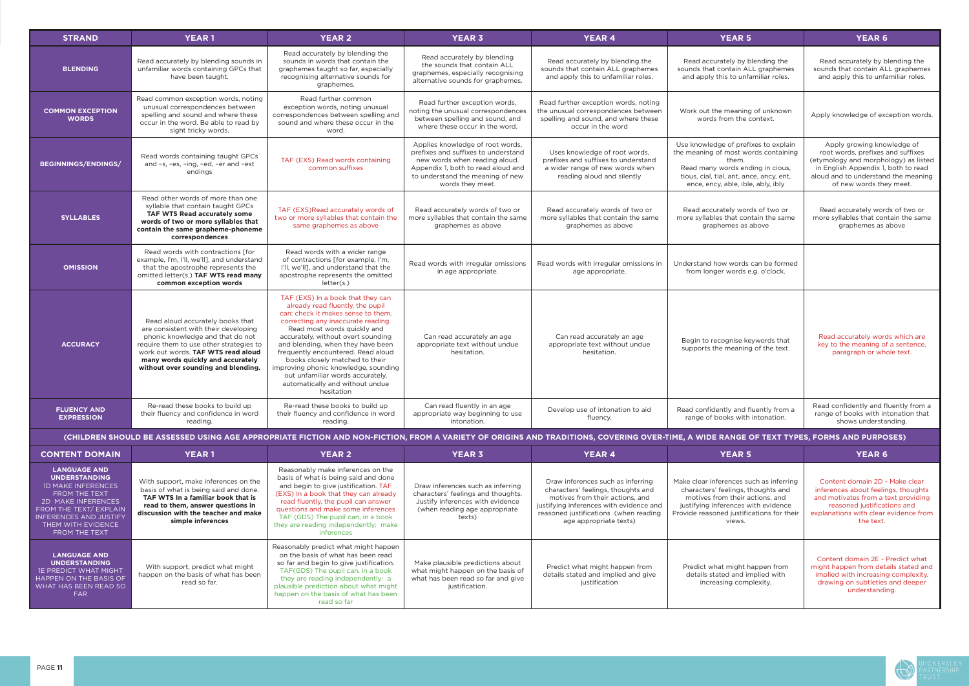

| <b>STRAND</b>                                                                                                                                                                                                     | <b>YEAR1</b>                                                                                                                                                                                                                                                              | <b>YEAR 2</b>                                                                                                                                                                                                                                                                                                                                                                                                                                                    | <b>YEAR 3</b>                                                                                                                                                                                          | <b>YEAR 4</b>                                                                                                                                                                                                            | <b>YEAR 5</b>                                                                                                                                                                                                  | <b>YEAR 6</b>                                                                                                                                                                                                    |
|-------------------------------------------------------------------------------------------------------------------------------------------------------------------------------------------------------------------|---------------------------------------------------------------------------------------------------------------------------------------------------------------------------------------------------------------------------------------------------------------------------|------------------------------------------------------------------------------------------------------------------------------------------------------------------------------------------------------------------------------------------------------------------------------------------------------------------------------------------------------------------------------------------------------------------------------------------------------------------|--------------------------------------------------------------------------------------------------------------------------------------------------------------------------------------------------------|--------------------------------------------------------------------------------------------------------------------------------------------------------------------------------------------------------------------------|----------------------------------------------------------------------------------------------------------------------------------------------------------------------------------------------------------------|------------------------------------------------------------------------------------------------------------------------------------------------------------------------------------------------------------------|
| <b>BLENDING</b>                                                                                                                                                                                                   | Read accurately by blending sounds in<br>unfamiliar words containing GPCs that<br>have been taught.                                                                                                                                                                       | Read accurately by blending the<br>sounds in words that contain the<br>graphemes taught so far, especially<br>recognising alternative sounds for<br>graphemes.                                                                                                                                                                                                                                                                                                   | Read accurately by blending<br>the sounds that contain ALL<br>graphemes, especially recognising<br>alternative sounds for graphemes.                                                                   | Read accurately by blending the<br>sounds that contain ALL graphemes<br>and apply this to unfamiliar roles.                                                                                                              | Read accurately by blending the<br>sounds that contain ALL graphemes<br>and apply this to unfamiliar roles.                                                                                                    | Read accurately by blending the<br>sounds that contain ALL graphemes<br>and apply this to unfamiliar roles.                                                                                                      |
| <b>COMMON EXCEPTION</b><br><b>WORDS</b>                                                                                                                                                                           | Read common exception words, noting<br>unusual correspondences between<br>spelling and sound and where these<br>occur in the word. Be able to read by<br>sight tricky words.                                                                                              | Read further common<br>exception words, noting unusual<br>correspondences between spelling and<br>sound and where these occur in the<br>word.                                                                                                                                                                                                                                                                                                                    | Read further exception words,<br>noting the unusual correspondences<br>between spelling and sound, and<br>where these occur in the word.                                                               | Read further exception words, noting<br>the unusual correspondences between<br>spelling and sound, and where these<br>occur in the word                                                                                  | Work out the meaning of unknown<br>words from the context.                                                                                                                                                     | Apply knowledge of exception words.                                                                                                                                                                              |
| <b>BEGINNINGS/ENDINGS/</b>                                                                                                                                                                                        | Read words containing taught GPCs<br>and -s, -es, -ing, -ed, -er and -est<br>endings                                                                                                                                                                                      | TAF (EXS) Read words containing<br>common suffixes                                                                                                                                                                                                                                                                                                                                                                                                               | Applies knowledge of root words,<br>prefixes and suffixes to understand<br>new words when reading aloud.<br>Appendix 1, both to read aloud and<br>to understand the meaning of new<br>words they meet. | Uses knowledge of root words,<br>prefixes and suffixes to understand<br>a wider range of new words when<br>reading aloud and silently                                                                                    | Use knowledge of prefixes to explain<br>the meaning of most words containing<br>them.<br>Read many words ending in cious,<br>tious, cial, tial, ant, ance, ancy, ent,<br>ence, ency, able, ible, ably, ibly    | Apply growing knowledge of<br>root words, prefixes and suffixes<br>(etymology and morphology) as listed<br>in English Appendix 1, both to read<br>aloud and to understand the meaning<br>of new words they meet. |
| <b>SYLLABLES</b>                                                                                                                                                                                                  | Read other words of more than one<br>syllable that contain taught GPCs<br>TAF WTS Read accurately some<br>words of two or more syllables that<br>contain the same grapheme-phoneme<br>correspondences                                                                     | TAF (EXS)Read accurately words of<br>two or more syllables that contain the<br>same graphemes as above                                                                                                                                                                                                                                                                                                                                                           | Read accurately words of two or<br>more syllables that contain the same<br>graphemes as above                                                                                                          | Read accurately words of two or<br>more syllables that contain the same<br>graphemes as above                                                                                                                            | Read accurately words of two or<br>more syllables that contain the same<br>graphemes as above                                                                                                                  | Read accurately words of two or<br>more syllables that contain the same<br>graphemes as above                                                                                                                    |
| <b>OMISSION</b>                                                                                                                                                                                                   | Read words with contractions [for<br>example, I'm, I'll, we'll], and understand<br>that the apostrophe represents the<br>omitted letter(s.) TAF WTS read many<br>common exception words                                                                                   | Read words with a wider range<br>of contractions [for example, I'm,<br>I'll, we'll], and understand that the<br>apostrophe represents the omitted<br>letter(s.)                                                                                                                                                                                                                                                                                                  | Read words with irregular omissions<br>in age appropriate.                                                                                                                                             | Read words with irregular omissions in<br>age appropriate.                                                                                                                                                               | Understand how words can be formed<br>from longer words e.g. o'clock.                                                                                                                                          |                                                                                                                                                                                                                  |
| <b>ACCURACY</b>                                                                                                                                                                                                   | Read aloud accurately books that<br>are consistent with their developing<br>phonic knowledge and that do not<br>require them to use other strategies to<br>work out words. TAF WTS read aloud<br>many words quickly and accurately<br>without over sounding and blending. | TAF (EXS) In a book that they can<br>already read fluently, the pupil<br>can: check it makes sense to them,<br>correcting any inaccurate reading.<br>Read most words quickly and<br>accurately, without overt sounding<br>and blending, when they have been<br>frequently encountered. Read aloud<br>books closely matched to their<br>improving phonic knowledge, sounding<br>out unfamiliar words accurately,<br>automatically and without undue<br>hesitation | Can read accurately an age<br>appropriate text without undue<br>hesitation.                                                                                                                            | Can read accurately an age<br>appropriate text without undue<br>hesitation.                                                                                                                                              | Begin to recognise keywords that<br>supports the meaning of the text.                                                                                                                                          | Read accurately words which are<br>key to the meaning of a sentence,<br>paragraph or whole text.                                                                                                                 |
| <b>FLUENCY AND</b><br><b>EXPRESSION</b>                                                                                                                                                                           | Re-read these books to build up<br>their fluency and confidence in word<br>reading.                                                                                                                                                                                       | Re-read these books to build up<br>their fluency and confidence in word<br>reading.                                                                                                                                                                                                                                                                                                                                                                              | Can read fluently in an age<br>appropriate way beginning to use<br>intonation.                                                                                                                         | Develop use of intonation to aid<br>fluency.                                                                                                                                                                             | Read confidently and fluently from a<br>range of books with intonation.                                                                                                                                        | Read confidently and fluently from a<br>range of books with intonation that<br>shows understanding.                                                                                                              |
|                                                                                                                                                                                                                   |                                                                                                                                                                                                                                                                           |                                                                                                                                                                                                                                                                                                                                                                                                                                                                  |                                                                                                                                                                                                        | (CHILDREN SHOULD BE ASSESSED USING AGE APPROPRIATE FICTION AND NON-FICTION, FROM A VARIETY OF ORIGINS AND TRADITIONS, COVERING OVER-TIME, A WIDE RANGE OF TEXT TYPES, FORMS AND PURPOSES)                                |                                                                                                                                                                                                                |                                                                                                                                                                                                                  |
| <b>CONTENT DOMAIN</b>                                                                                                                                                                                             | <b>YEAR1</b>                                                                                                                                                                                                                                                              | <b>YEAR 2</b>                                                                                                                                                                                                                                                                                                                                                                                                                                                    | <b>YEAR 3</b>                                                                                                                                                                                          | <b>YEAR 4</b>                                                                                                                                                                                                            | <b>YEAR 5</b>                                                                                                                                                                                                  | <b>YEAR 6</b>                                                                                                                                                                                                    |
| <b>LANGUAGE AND</b><br><b>UNDERSTANDING</b><br><b>1D MAKE INFERENCES</b><br>FROM THE TEXT<br>2D MAKE INFERENCES<br>FROM THE TEXT/ EXPLAIN<br><b>INFERENCES AND JUSTIFY</b><br>THEM WITH EVIDENCE<br>FROM THE TEXT | With support, make inferences on the<br>basis of what is being said and done.<br>TAF WTS In a familiar book that is<br>read to them, answer questions in<br>discussion with the teacher and make<br>simple inferences                                                     | Reasonably make inferences on the<br>basis of what is being said and done<br>and begin to give justification. TAF<br>(EXS) In a book that they can already<br>read fluently, the pupil can answer<br>questions and make some inferences<br>TAF (GDS) The pupil can, in a book<br>they are reading independently: make<br>inferences                                                                                                                              | Draw inferences such as inferring<br>characters' feelings and thoughts.<br>Justify inferences with evidence<br>(when reading age appropriate<br>texts)                                                 | Draw inferences such as inferring<br>characters' feelings, thoughts and<br>motives from their actions, and<br>justifying inferences with evidence and<br>reasoned justifications (when reading<br>age appropriate texts) | Make clear inferences such as inferring<br>characters' feelings, thoughts and<br>motives from their actions, and<br>justifying inferences with evidence<br>Provide reasoned justifications for their<br>views. | Content domain 2D - Make clear<br>inferences about feelings, thoughts<br>and motivates from a text providing<br>reasoned justifications and<br>explanations with clear evidence from<br>the text.                |
| <b>LANGUAGE AND</b><br><b>UNDERSTANDING</b><br><b>IE PREDICT WHAT MIGHT</b><br>HAPPEN ON THE BASIS OF<br>WHAT HAS BEEN READ SO<br><b>FAR</b>                                                                      | With support, predict what might<br>happen on the basis of what has been<br>read so far.                                                                                                                                                                                  | Reasonably predict what might happen<br>on the basis of what has been read<br>so far and begin to give justification.<br>TAF(GDS) The pupil can, in a book<br>they are reading independently: a<br>plausible prediction about what might<br>happen on the basis of what has been<br>read so far                                                                                                                                                                  | Make plausible predictions about<br>what might happen on the basis of<br>what has been read so far and give<br>justification.                                                                          | Predict what might happen from<br>details stated and implied and give<br>justification                                                                                                                                   | Predict what might happen from<br>details stated and implied with<br>increasing complexity.                                                                                                                    | Content domain 2E - Predict what<br>might happen from details stated and<br>implied with increasing complexity,<br>drawing on subtleties and deeper<br>understanding.                                            |

| <b>CONTENT DOMAIN</b>                                                                                                                                                                                                           | <b>YEAR1</b>                                                                                                                                                                                                          | <b>YEAR 2</b>                                                                                                                                                                                                                                                                                                                       | <b>YEAR 3</b>                                                                                                                                          | <b>YEAR 4</b>                                                                                                                                                                                                            | YE/                                                                                                              |
|---------------------------------------------------------------------------------------------------------------------------------------------------------------------------------------------------------------------------------|-----------------------------------------------------------------------------------------------------------------------------------------------------------------------------------------------------------------------|-------------------------------------------------------------------------------------------------------------------------------------------------------------------------------------------------------------------------------------------------------------------------------------------------------------------------------------|--------------------------------------------------------------------------------------------------------------------------------------------------------|--------------------------------------------------------------------------------------------------------------------------------------------------------------------------------------------------------------------------|------------------------------------------------------------------------------------------------------------------|
| <b>LANGUAGE AND</b><br><b>UNDERSTANDING</b><br><b>ID MAKE INFERENCES</b><br><b>FROM THE TEXT</b><br>2D MAKE INFERENCES<br>FROM THE TEXT/ EXPLAIN<br><b>INFERENCES AND JUSTIFY</b><br>THEM WITH EVIDENCE<br><b>FROM THE TEXT</b> | With support, make inferences on the<br>basis of what is being said and done.<br>TAF WTS In a familiar book that is<br>read to them, answer questions in<br>discussion with the teacher and make<br>simple inferences | Reasonably make inferences on the<br>basis of what is being said and done<br>and begin to give justification. TAF<br>(EXS) In a book that they can already<br>read fluently, the pupil can answer<br>questions and make some inferences<br>TAF (GDS) The pupil can, in a book<br>they are reading independently: make<br>inferences | Draw inferences such as inferring<br>characters' feelings and thoughts.<br>Justify inferences with evidence<br>(when reading age appropriate<br>texts) | Draw inferences such as inferring<br>characters' feelings, thoughts and<br>motives from their actions, and<br>justifying inferences with evidence and<br>reasoned justifications (when reading<br>age appropriate texts) | Make clear inferenc<br>characters' feelir<br>motives from th<br>justifying inferen<br>Provide reasoned ju<br>vie |
| <b>LANGUAGE AND</b><br><b>UNDERSTANDING</b><br><b>1E PREDICT WHAT MIGHT</b><br>HAPPEN ON THE BASIS OF<br><b>WHAT HAS BEEN READ SO</b><br><b>FAR</b>                                                                             | With support, predict what might<br>happen on the basis of what has been<br>read so far.                                                                                                                              | Reasonably predict what might happen<br>on the basis of what has been read<br>so far and begin to give justification.<br>TAF(GDS) The pupil can, in a book<br>they are reading independently: a<br>plausible prediction about what might<br>happen on the basis of what has been<br>read so far                                     | Make plausible predictions about<br>what might happen on the basis of<br>what has been read so far and give<br>justification.                          | Predict what might happen from<br>details stated and implied and give<br>justification                                                                                                                                   | Predict what might<br>details stated a<br>increasing                                                             |